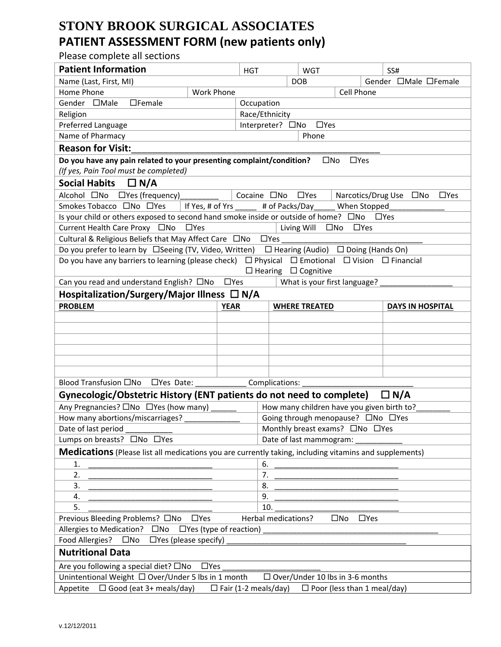## **STONY BROOK SURGICAL ASSOCIATES PATIENT ASSESSMENT FORM (new patients only)**

Please complete all sections

| <b>Patient Information</b>                                                                             |                                                                                                              | <b>HGT</b>           |                                   | <b>WGT</b>                      |                                        | SS#                                                             |  |  |
|--------------------------------------------------------------------------------------------------------|--------------------------------------------------------------------------------------------------------------|----------------------|-----------------------------------|---------------------------------|----------------------------------------|-----------------------------------------------------------------|--|--|
| Name (Last, First, MI)                                                                                 |                                                                                                              |                      |                                   | <b>DOB</b>                      |                                        | Gender □Male □Female                                            |  |  |
| Home Phone                                                                                             | <b>Work Phone</b>                                                                                            |                      |                                   |                                 | Cell Phone                             |                                                                 |  |  |
| $\Box$ Female<br>Gender □Male                                                                          |                                                                                                              |                      | Occupation                        |                                 |                                        |                                                                 |  |  |
| Religion<br>Race/Ethnicity                                                                             |                                                                                                              |                      |                                   |                                 |                                        |                                                                 |  |  |
| Preferred Language                                                                                     |                                                                                                              |                      | Interpreter? □No<br>$\Box$ Yes    |                                 |                                        |                                                                 |  |  |
| Name of Pharmacy<br>Phone                                                                              |                                                                                                              |                      |                                   |                                 |                                        |                                                                 |  |  |
| <b>Reason for Visit:</b>                                                                               |                                                                                                              |                      |                                   |                                 |                                        |                                                                 |  |  |
| Do you have any pain related to your presenting complaint/condition?<br>$\square$ No<br>$\Box$ Yes     |                                                                                                              |                      |                                   |                                 |                                        |                                                                 |  |  |
| (If yes, Pain Tool must be completed)                                                                  |                                                                                                              |                      |                                   |                                 |                                        |                                                                 |  |  |
| Social Habits $\Box N/A$                                                                               |                                                                                                              |                      |                                   |                                 |                                        |                                                                 |  |  |
| Alcohol □No □Yes (frequency)                                                                           |                                                                                                              | Cocaine $\square$ No |                                   | $\Box$ Yes                      | Narcotics/Drug Use                     | $\square$ No<br>$\Box$ Yes                                      |  |  |
| Smokes Tobacco □No □Yes                                                                                | l If Yes, # of Yrs                                                                                           |                      |                                   |                                 | # of Packs/Day When Stopped            |                                                                 |  |  |
| Is your child or others exposed to second hand smoke inside or outside of home? $\square$ No           |                                                                                                              |                      |                                   |                                 |                                        | $\square$ Yes                                                   |  |  |
| Current Health Care Proxy □No<br>Living Will<br>$\Box$ Yes<br>$\square$ No<br>$\Box$ Yes               |                                                                                                              |                      |                                   |                                 |                                        |                                                                 |  |  |
| Cultural & Religious Beliefs that May Affect Care □No<br>$\Box$ Yes                                    |                                                                                                              |                      |                                   |                                 |                                        |                                                                 |  |  |
| Do you prefer to learn by □ Seeing (TV, Video, Written) □ Hearing (Audio) □ Doing (Hands On)           |                                                                                                              |                      |                                   |                                 |                                        |                                                                 |  |  |
| Do you have any barriers to learning (please check)                                                    |                                                                                                              |                      |                                   |                                 |                                        | $\Box$ Physical $\Box$ Emotional $\Box$ Vision $\Box$ Financial |  |  |
|                                                                                                        |                                                                                                              |                      |                                   | $\Box$ Hearing $\Box$ Cognitive |                                        |                                                                 |  |  |
| Can you read and understand English? □No □Yes                                                          |                                                                                                              |                      |                                   |                                 | What is your first language?           |                                                                 |  |  |
| Hospitalization/Surgery/Major Illness $\Box$ N/A                                                       |                                                                                                              |                      |                                   |                                 |                                        |                                                                 |  |  |
| <b>PROBLEM</b>                                                                                         | <b>YEAR</b>                                                                                                  |                      |                                   | <b>WHERE TREATED</b>            |                                        | <b>DAYS IN HOSPITAL</b>                                         |  |  |
|                                                                                                        |                                                                                                              |                      |                                   |                                 |                                        |                                                                 |  |  |
|                                                                                                        |                                                                                                              |                      |                                   |                                 |                                        |                                                                 |  |  |
|                                                                                                        |                                                                                                              |                      |                                   |                                 |                                        |                                                                 |  |  |
|                                                                                                        |                                                                                                              |                      |                                   |                                 |                                        |                                                                 |  |  |
|                                                                                                        |                                                                                                              |                      |                                   |                                 |                                        |                                                                 |  |  |
|                                                                                                        |                                                                                                              |                      |                                   |                                 |                                        |                                                                 |  |  |
| <b>Blood Transfusion □No</b><br>$\Box$ Yes Date:                                                       |                                                                                                              |                      | Complications:                    |                                 |                                        |                                                                 |  |  |
| Gynecologic/Obstetric History (ENT patients do not need to complete)                                   |                                                                                                              |                      |                                   |                                 |                                        | $\Box$ N/A                                                      |  |  |
| Any Pregnancies? □No □Yes (how many)                                                                   |                                                                                                              |                      |                                   |                                 |                                        | How many children have you given birth to?                      |  |  |
| How many abortions/miscarriages?                                                                       |                                                                                                              |                      | Going through menopause? □No □Yes |                                 |                                        |                                                                 |  |  |
| Date of last period                                                                                    |                                                                                                              |                      | Monthly breast exams? ONo OYes    |                                 |                                        |                                                                 |  |  |
| Lumps on breasts? □No □Yes<br>Date of last mammogram:                                                  |                                                                                                              |                      |                                   |                                 |                                        |                                                                 |  |  |
| Medications (Please list all medications you are currently taking, including vitamins and supplements) |                                                                                                              |                      |                                   |                                 |                                        |                                                                 |  |  |
| 6.<br>1.                                                                                               |                                                                                                              |                      |                                   |                                 |                                        |                                                                 |  |  |
| 2.                                                                                                     |                                                                                                              |                      | 7.                                |                                 |                                        |                                                                 |  |  |
| 3.                                                                                                     |                                                                                                              |                      | 8.                                |                                 |                                        |                                                                 |  |  |
| 4.                                                                                                     |                                                                                                              |                      | 9.                                |                                 |                                        |                                                                 |  |  |
| 5.<br>10.                                                                                              |                                                                                                              |                      |                                   |                                 |                                        |                                                                 |  |  |
| $\Box$ Yes<br>Herbal medications?<br>Previous Bleeding Problems? □No<br>$\square$ No<br>$\Box$ Yes     |                                                                                                              |                      |                                   |                                 |                                        |                                                                 |  |  |
| Allergies to Medication? □No<br>$\Box$ Yes (type of reaction)                                          |                                                                                                              |                      |                                   |                                 |                                        |                                                                 |  |  |
| Food Allergies?<br>$\square$ No<br>$\Box$ Yes (please specify)                                         |                                                                                                              |                      |                                   |                                 |                                        |                                                                 |  |  |
| <b>Nutritional Data</b>                                                                                |                                                                                                              |                      |                                   |                                 |                                        |                                                                 |  |  |
| Are you following a special diet? □No<br>$\Box$ Yes                                                    |                                                                                                              |                      |                                   |                                 |                                        |                                                                 |  |  |
| Unintentional Weight □ Over/Under 5 lbs in 1 month                                                     |                                                                                                              |                      |                                   |                                 | $\Box$ Over/Under 10 lbs in 3-6 months |                                                                 |  |  |
|                                                                                                        | Appetite $\Box$ Good (eat 3+ meals/day)<br>$\Box$ Fair (1-2 meals/day)<br>$\Box$ Poor (less than 1 meal/day) |                      |                                   |                                 |                                        |                                                                 |  |  |